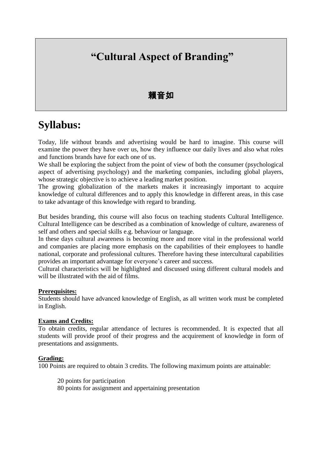## **"Cultural Aspect of Branding"**

### 賴音如

## **Syllabus:**

Today, life without brands and advertising would be hard to imagine. This course will examine the power they have over us, how they influence our daily lives and also what roles and functions brands have for each one of us.

We shall be exploring the subject from the point of view of both the consumer (psychological aspect of advertising psychology) and the marketing companies, including global players, whose strategic objective is to achieve a leading market position.

The growing globalization of the markets makes it increasingly important to acquire knowledge of cultural differences and to apply this knowledge in different areas, in this case to take advantage of this knowledge with regard to branding.

But besides branding, this course will also focus on teaching students Cultural Intelligence. Cultural Intelligence can be described as a combination of knowledge of culture, awareness of self and others and special skills e.g. behaviour or language.

In these days cultural awareness is becoming more and more vital in the professional world and companies are placing more emphasis on the capabilities of their employees to handle national, corporate and professional cultures. Therefore having these intercultural capabilities provides an important advantage for everyone's career and success.

Cultural characteristics will be highlighted and discussed using different cultural models and will be illustrated with the aid of films.

#### **Prerequisites:**

Students should have advanced knowledge of English, as all written work must be completed in English.

#### **Exams and Credits:**

To obtain credits, regular attendance of lectures is recommended. It is expected that all students will provide proof of their progress and the acquirement of knowledge in form of presentations and assignments.

#### **Grading:**

100 Points are required to obtain 3 credits. The following maximum points are attainable:

20 points for participation

80 points for assignment and appertaining presentation